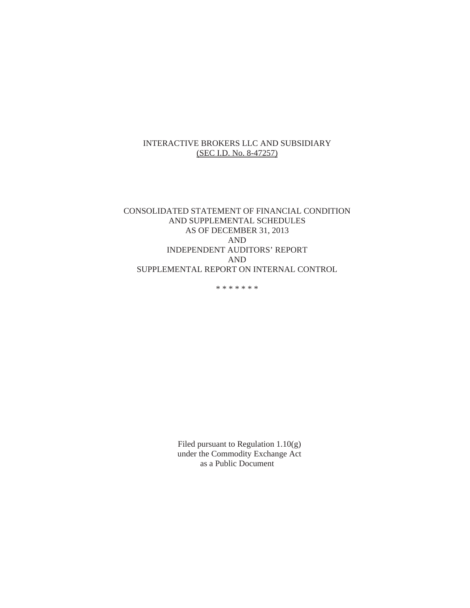#### INTERACTIVE BROKERS LLC AND SUBSIDIARY (SEC I.D. No. 8-47257)

# CONSOLIDATED STATEMENT OF FINANCIAL CONDITION AND SUPPLEMENTAL SCHEDULES AS OF DECEMBER 31, 2013 AND INDEPENDENT AUDITORS' REPORT AND SUPPLEMENTAL REPORT ON INTERNAL CONTROL

\* \* \* \* \* \* \*

Filed pursuant to Regulation 1.10(g) under the Commodity Exchange Act as a Public Document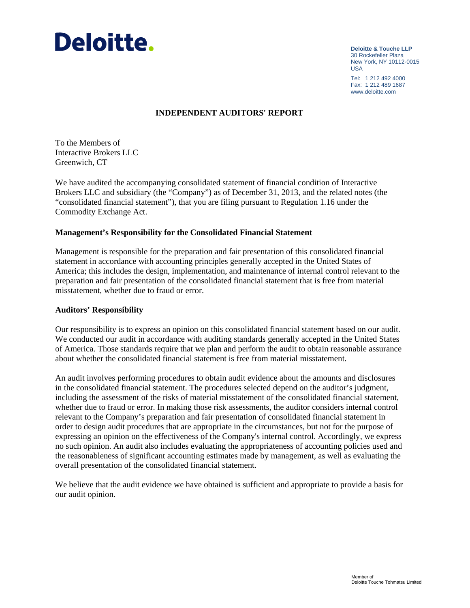

**Deloitte & Touche LLP** 30 Rockefeller Plaza New York, NY 10112-0015 USA

Tel: 1 212 492 4000 Fax: 1 212 489 1687 www.deloitte.com

#### **INDEPENDENT AUDITORS' REPORT**

To the Members of Interactive Brokers LLC Greenwich, CT

We have audited the accompanying consolidated statement of financial condition of Interactive Brokers LLC and subsidiary (the "Company") as of December 31, 2013, and the related notes (the "consolidated financial statement"), that you are filing pursuant to Regulation 1.16 under the Commodity Exchange Act.

#### **Management's Responsibility for the Consolidated Financial Statement**

Management is responsible for the preparation and fair presentation of this consolidated financial statement in accordance with accounting principles generally accepted in the United States of America; this includes the design, implementation, and maintenance of internal control relevant to the preparation and fair presentation of the consolidated financial statement that is free from material misstatement, whether due to fraud or error.

#### **Auditors' Responsibility**

Our responsibility is to express an opinion on this consolidated financial statement based on our audit. We conducted our audit in accordance with auditing standards generally accepted in the United States of America. Those standards require that we plan and perform the audit to obtain reasonable assurance about whether the consolidated financial statement is free from material misstatement.

An audit involves performing procedures to obtain audit evidence about the amounts and disclosures in the consolidated financial statement. The procedures selected depend on the auditor's judgment, including the assessment of the risks of material misstatement of the consolidated financial statement, whether due to fraud or error. In making those risk assessments, the auditor considers internal control relevant to the Company's preparation and fair presentation of consolidated financial statement in order to design audit procedures that are appropriate in the circumstances, but not for the purpose of expressing an opinion on the effectiveness of the Company's internal control. Accordingly, we express no such opinion. An audit also includes evaluating the appropriateness of accounting policies used and the reasonableness of significant accounting estimates made by management, as well as evaluating the overall presentation of the consolidated financial statement.

We believe that the audit evidence we have obtained is sufficient and appropriate to provide a basis for our audit opinion.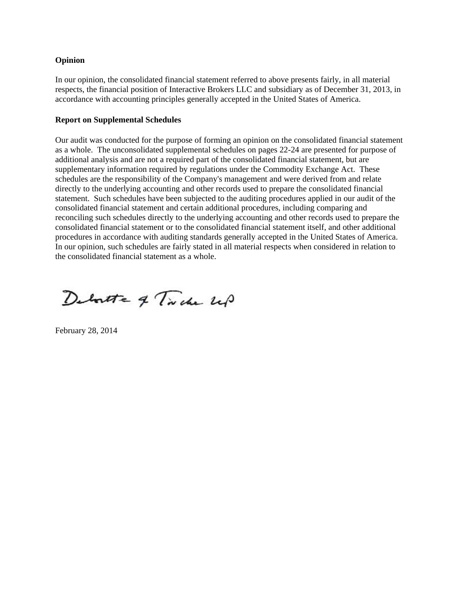#### **Opinion**

In our opinion, the consolidated financial statement referred to above presents fairly, in all material respects, the financial position of Interactive Brokers LLC and subsidiary as of December 31, 2013, in accordance with accounting principles generally accepted in the United States of America.

#### **Report on Supplemental Schedules**

Our audit was conducted for the purpose of forming an opinion on the consolidated financial statement as a whole. The unconsolidated supplemental schedules on pages 22-24 are presented for purpose of additional analysis and are not a required part of the consolidated financial statement, but are supplementary information required by regulations under the Commodity Exchange Act. These schedules are the responsibility of the Company's management and were derived from and relate directly to the underlying accounting and other records used to prepare the consolidated financial statement. Such schedules have been subjected to the auditing procedures applied in our audit of the consolidated financial statement and certain additional procedures, including comparing and reconciling such schedules directly to the underlying accounting and other records used to prepare the consolidated financial statement or to the consolidated financial statement itself, and other additional procedures in accordance with auditing standards generally accepted in the United States of America. In our opinion, such schedules are fairly stated in all material respects when considered in relation to the consolidated financial statement as a whole.

Deboutte of Triche up

February 28, 2014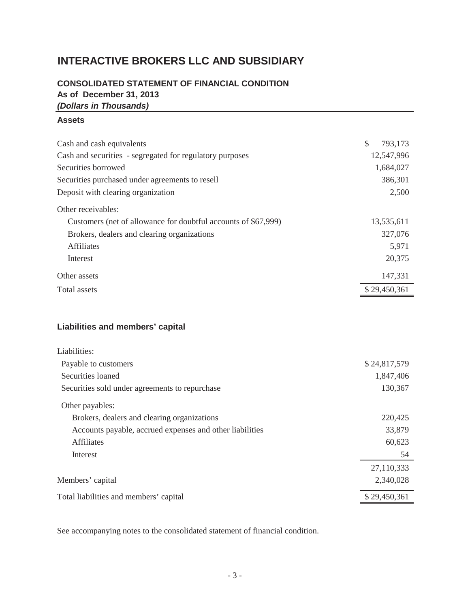# **INTERACTIVE BROKERS LLC AND SUBSIDIARY**

# **CONSOLIDATED STATEMENT OF FINANCIAL CONDITION As of December 31, 2013** *(Dollars in Thousands)*

#### **Assets**

| Cash and cash equivalents                                      | S<br>793,173 |  |  |  |  |  |
|----------------------------------------------------------------|--------------|--|--|--|--|--|
| Cash and securities - segregated for regulatory purposes       | 12,547,996   |  |  |  |  |  |
| Securities borrowed                                            | 1,684,027    |  |  |  |  |  |
| Securities purchased under agreements to resell                |              |  |  |  |  |  |
| Deposit with clearing organization                             |              |  |  |  |  |  |
| Other receivables:                                             |              |  |  |  |  |  |
| Customers (net of allowance for doubtful accounts of \$67,999) | 13,535,611   |  |  |  |  |  |
| Brokers, dealers and clearing organizations                    | 327,076      |  |  |  |  |  |
| <b>Affiliates</b>                                              | 5,971        |  |  |  |  |  |
| Interest                                                       | 20,375       |  |  |  |  |  |
| Other assets                                                   | 147,331      |  |  |  |  |  |
| Total assets                                                   |              |  |  |  |  |  |
|                                                                |              |  |  |  |  |  |

# **Liabilities and members' capital**

| Liabilities:                                             |              |
|----------------------------------------------------------|--------------|
| Payable to customers                                     | \$24,817,579 |
| Securities loaned                                        | 1,847,406    |
| Securities sold under agreements to repurchase           | 130,367      |
| Other payables:                                          |              |
| Brokers, dealers and clearing organizations              | 220,425      |
| Accounts payable, accrued expenses and other liabilities | 33,879       |
| Affiliates                                               | 60,623       |
| Interest                                                 | 54           |
|                                                          | 27,110,333   |
| Members' capital                                         | 2,340,028    |
| Total liabilities and members' capital                   | \$29,450,361 |

See accompanying notes to the consolidated statement of financial condition.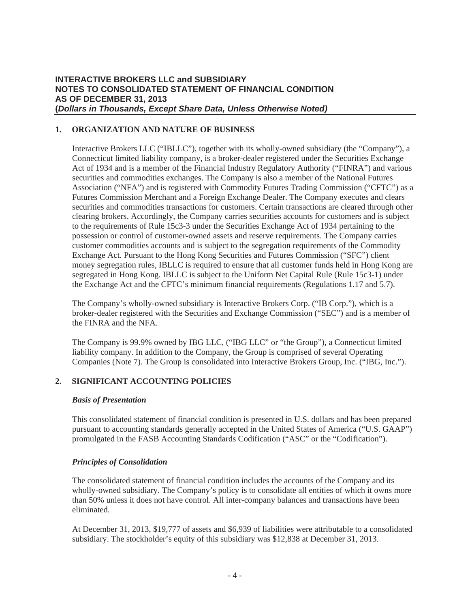#### **1. ORGANIZATION AND NATURE OF BUSINESS**

Interactive Brokers LLC ("IBLLC"), together with its wholly-owned subsidiary (the "Company"), a Connecticut limited liability company, is a broker-dealer registered under the Securities Exchange Act of 1934 and is a member of the Financial Industry Regulatory Authority ("FINRA") and various securities and commodities exchanges. The Company is also a member of the National Futures Association ("NFA") and is registered with Commodity Futures Trading Commission ("CFTC") as a Futures Commission Merchant and a Foreign Exchange Dealer. The Company executes and clears securities and commodities transactions for customers. Certain transactions are cleared through other clearing brokers. Accordingly, the Company carries securities accounts for customers and is subject to the requirements of Rule 15c3-3 under the Securities Exchange Act of 1934 pertaining to the possession or control of customer-owned assets and reserve requirements. The Company carries customer commodities accounts and is subject to the segregation requirements of the Commodity Exchange Act. Pursuant to the Hong Kong Securities and Futures Commission ("SFC") client money segregation rules, IBLLC is required to ensure that all customer funds held in Hong Kong are segregated in Hong Kong. IBLLC is subject to the Uniform Net Capital Rule (Rule 15c3-1) under the Exchange Act and the CFTC's minimum financial requirements (Regulations 1.17 and 5.7).

The Company's wholly-owned subsidiary is Interactive Brokers Corp. ("IB Corp."), which is a broker-dealer registered with the Securities and Exchange Commission ("SEC") and is a member of the FINRA and the NFA.

The Company is 99.9% owned by IBG LLC, ("IBG LLC" or "the Group"), a Connecticut limited liability company. In addition to the Company, the Group is comprised of several Operating Companies (Note 7). The Group is consolidated into Interactive Brokers Group, Inc. ("IBG, Inc.").

#### **2. SIGNIFICANT ACCOUNTING POLICIES**

#### *Basis of Presentation*

This consolidated statement of financial condition is presented in U.S. dollars and has been prepared pursuant to accounting standards generally accepted in the United States of America ("U.S. GAAP") promulgated in the FASB Accounting Standards Codification ("ASC" or the "Codification").

#### *Principles of Consolidation*

The consolidated statement of financial condition includes the accounts of the Company and its wholly-owned subsidiary. The Company's policy is to consolidate all entities of which it owns more than 50% unless it does not have control. All inter-company balances and transactions have been eliminated.

At December 31, 2013, \$19,777 of assets and \$6,939 of liabilities were attributable to a consolidated subsidiary. The stockholder's equity of this subsidiary was \$12,838 at December 31, 2013.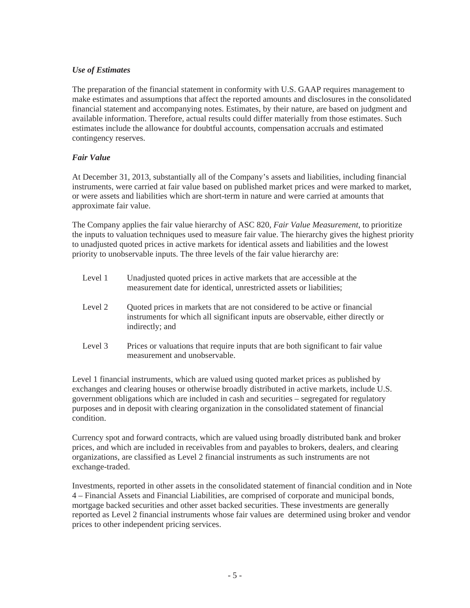# *Use of Estimates*

The preparation of the financial statement in conformity with U.S. GAAP requires management to make estimates and assumptions that affect the reported amounts and disclosures in the consolidated financial statement and accompanying notes. Estimates, by their nature, are based on judgment and available information. Therefore, actual results could differ materially from those estimates. Such estimates include the allowance for doubtful accounts, compensation accruals and estimated contingency reserves.

# *Fair Value*

At December 31, 2013, substantially all of the Company's assets and liabilities, including financial instruments, were carried at fair value based on published market prices and were marked to market, or were assets and liabilities which are short-term in nature and were carried at amounts that approximate fair value.

The Company applies the fair value hierarchy of ASC 820, *Fair Value Measurement*, to prioritize the inputs to valuation techniques used to measure fair value. The hierarchy gives the highest priority to unadjusted quoted prices in active markets for identical assets and liabilities and the lowest priority to unobservable inputs. The three levels of the fair value hierarchy are:

| Level 1 | Unadjusted quoted prices in active markets that are accessible at the<br>measurement date for identical, unrestricted assets or liabilities;                                     |
|---------|----------------------------------------------------------------------------------------------------------------------------------------------------------------------------------|
| Level 2 | Quoted prices in markets that are not considered to be active or financial<br>instruments for which all significant inputs are observable, either directly or<br>indirectly; and |
| Level 3 | Prices or valuations that require inputs that are both significant to fair value<br>measurement and unobservable.                                                                |

Level 1 financial instruments, which are valued using quoted market prices as published by exchanges and clearing houses or otherwise broadly distributed in active markets, include U.S. government obligations which are included in cash and securities – segregated for regulatory purposes and in deposit with clearing organization in the consolidated statement of financial condition.

Currency spot and forward contracts, which are valued using broadly distributed bank and broker prices, and which are included in receivables from and payables to brokers, dealers, and clearing organizations, are classified as Level 2 financial instruments as such instruments are not exchange-traded.

Investments, reported in other assets in the consolidated statement of financial condition and in Note 4 – Financial Assets and Financial Liabilities, are comprised of corporate and municipal bonds, mortgage backed securities and other asset backed securities. These investments are generally reported as Level 2 financial instruments whose fair values are determined using broker and vendor prices to other independent pricing services.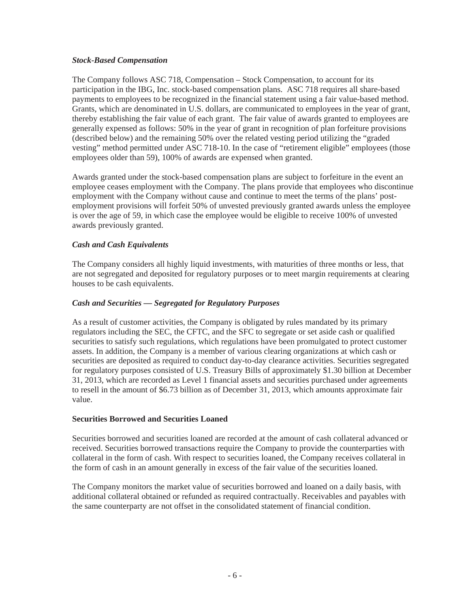#### *Stock-Based Compensation*

The Company follows ASC 718, Compensation – Stock Compensation, to account for its participation in the IBG, Inc. stock-based compensation plans. ASC 718 requires all share-based payments to employees to be recognized in the financial statement using a fair value-based method. Grants, which are denominated in U.S. dollars, are communicated to employees in the year of grant, thereby establishing the fair value of each grant. The fair value of awards granted to employees are generally expensed as follows: 50% in the year of grant in recognition of plan forfeiture provisions (described below) and the remaining 50% over the related vesting period utilizing the "graded vesting" method permitted under ASC 718-10. In the case of "retirement eligible" employees (those employees older than 59), 100% of awards are expensed when granted.

Awards granted under the stock-based compensation plans are subject to forfeiture in the event an employee ceases employment with the Company. The plans provide that employees who discontinue employment with the Company without cause and continue to meet the terms of the plans' postemployment provisions will forfeit 50% of unvested previously granted awards unless the employee is over the age of 59, in which case the employee would be eligible to receive 100% of unvested awards previously granted.

# *Cash and Cash Equivalents*

The Company considers all highly liquid investments, with maturities of three months or less, that are not segregated and deposited for regulatory purposes or to meet margin requirements at clearing houses to be cash equivalents.

#### *Cash and Securities — Segregated for Regulatory Purposes*

As a result of customer activities, the Company is obligated by rules mandated by its primary regulators including the SEC, the CFTC, and the SFC to segregate or set aside cash or qualified securities to satisfy such regulations, which regulations have been promulgated to protect customer assets. In addition, the Company is a member of various clearing organizations at which cash or securities are deposited as required to conduct day-to-day clearance activities. Securities segregated for regulatory purposes consisted of U.S. Treasury Bills of approximately \$1.30 billion at December 31, 2013, which are recorded as Level 1 financial assets and securities purchased under agreements to resell in the amount of \$6.73 billion as of December 31, 2013, which amounts approximate fair value.

#### **Securities Borrowed and Securities Loaned**

Securities borrowed and securities loaned are recorded at the amount of cash collateral advanced or received. Securities borrowed transactions require the Company to provide the counterparties with collateral in the form of cash. With respect to securities loaned, the Company receives collateral in the form of cash in an amount generally in excess of the fair value of the securities loaned.

The Company monitors the market value of securities borrowed and loaned on a daily basis, with additional collateral obtained or refunded as required contractually. Receivables and payables with the same counterparty are not offset in the consolidated statement of financial condition.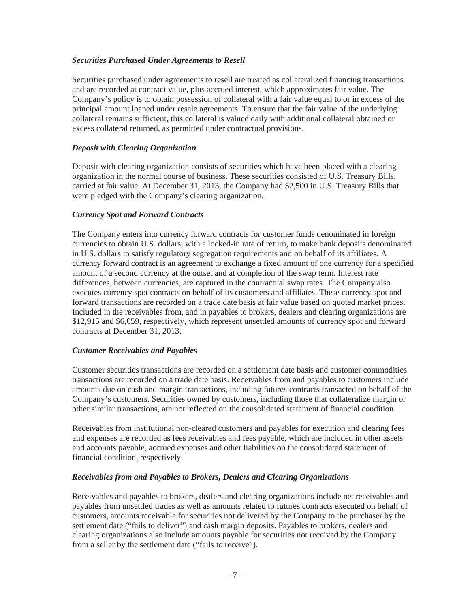# *Securities Purchased Under Agreements to Resell*

Securities purchased under agreements to resell are treated as collateralized financing transactions and are recorded at contract value, plus accrued interest, which approximates fair value. The Company's policy is to obtain possession of collateral with a fair value equal to or in excess of the principal amount loaned under resale agreements. To ensure that the fair value of the underlying collateral remains sufficient, this collateral is valued daily with additional collateral obtained or excess collateral returned, as permitted under contractual provisions.

## *Deposit with Clearing Organization*

Deposit with clearing organization consists of securities which have been placed with a clearing organization in the normal course of business. These securities consisted of U.S. Treasury Bills, carried at fair value. At December 31, 2013, the Company had \$2,500 in U.S. Treasury Bills that were pledged with the Company's clearing organization.

#### *Currency Spot and Forward Contracts*

The Company enters into currency forward contracts for customer funds denominated in foreign currencies to obtain U.S. dollars, with a locked-in rate of return, to make bank deposits denominated in U.S. dollars to satisfy regulatory segregation requirements and on behalf of its affiliates. A currency forward contract is an agreement to exchange a fixed amount of one currency for a specified amount of a second currency at the outset and at completion of the swap term. Interest rate differences, between currencies, are captured in the contractual swap rates. The Company also executes currency spot contracts on behalf of its customers and affiliates. These currency spot and forward transactions are recorded on a trade date basis at fair value based on quoted market prices. Included in the receivables from, and in payables to brokers, dealers and clearing organizations are \$12,915 and \$6,059, respectively, which represent unsettled amounts of currency spot and forward contracts at December 31, 2013.

#### *Customer Receivables and Payables*

Customer securities transactions are recorded on a settlement date basis and customer commodities transactions are recorded on a trade date basis. Receivables from and payables to customers include amounts due on cash and margin transactions, including futures contracts transacted on behalf of the Company's customers. Securities owned by customers, including those that collateralize margin or other similar transactions, are not reflected on the consolidated statement of financial condition.

Receivables from institutional non-cleared customers and payables for execution and clearing fees and expenses are recorded as fees receivables and fees payable, which are included in other assets and accounts payable, accrued expenses and other liabilities on the consolidated statement of financial condition, respectively.

# *Receivables from and Payables to Brokers, Dealers and Clearing Organizations*

Receivables and payables to brokers, dealers and clearing organizations include net receivables and payables from unsettled trades as well as amounts related to futures contracts executed on behalf of customers, amounts receivable for securities not delivered by the Company to the purchaser by the settlement date ("fails to deliver") and cash margin deposits. Payables to brokers, dealers and clearing organizations also include amounts payable for securities not received by the Company from a seller by the settlement date ("fails to receive").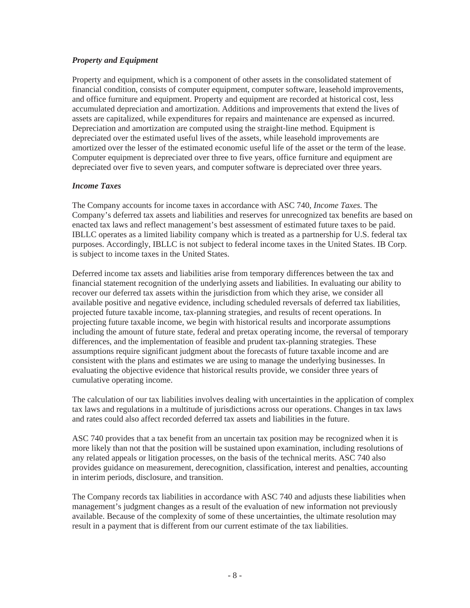# *Property and Equipment*

Property and equipment, which is a component of other assets in the consolidated statement of financial condition, consists of computer equipment, computer software, leasehold improvements, and office furniture and equipment. Property and equipment are recorded at historical cost, less accumulated depreciation and amortization. Additions and improvements that extend the lives of assets are capitalized, while expenditures for repairs and maintenance are expensed as incurred. Depreciation and amortization are computed using the straight-line method. Equipment is depreciated over the estimated useful lives of the assets, while leasehold improvements are amortized over the lesser of the estimated economic useful life of the asset or the term of the lease. Computer equipment is depreciated over three to five years, office furniture and equipment are depreciated over five to seven years, and computer software is depreciated over three years.

# *Income Taxes*

The Company accounts for income taxes in accordance with ASC 740, *Income Taxes.* The Company's deferred tax assets and liabilities and reserves for unrecognized tax benefits are based on enacted tax laws and reflect management's best assessment of estimated future taxes to be paid. IBLLC operates as a limited liability company which is treated as a partnership for U.S. federal tax purposes. Accordingly, IBLLC is not subject to federal income taxes in the United States. IB Corp. is subject to income taxes in the United States.

Deferred income tax assets and liabilities arise from temporary differences between the tax and financial statement recognition of the underlying assets and liabilities. In evaluating our ability to recover our deferred tax assets within the jurisdiction from which they arise, we consider all available positive and negative evidence, including scheduled reversals of deferred tax liabilities, projected future taxable income, tax-planning strategies, and results of recent operations. In projecting future taxable income, we begin with historical results and incorporate assumptions including the amount of future state, federal and pretax operating income, the reversal of temporary differences, and the implementation of feasible and prudent tax-planning strategies. These assumptions require significant judgment about the forecasts of future taxable income and are consistent with the plans and estimates we are using to manage the underlying businesses. In evaluating the objective evidence that historical results provide, we consider three years of cumulative operating income.

The calculation of our tax liabilities involves dealing with uncertainties in the application of complex tax laws and regulations in a multitude of jurisdictions across our operations. Changes in tax laws and rates could also affect recorded deferred tax assets and liabilities in the future.

ASC 740 provides that a tax benefit from an uncertain tax position may be recognized when it is more likely than not that the position will be sustained upon examination, including resolutions of any related appeals or litigation processes, on the basis of the technical merits. ASC 740 also provides guidance on measurement, derecognition, classification, interest and penalties, accounting in interim periods, disclosure, and transition.

The Company records tax liabilities in accordance with ASC 740 and adjusts these liabilities when management's judgment changes as a result of the evaluation of new information not previously available. Because of the complexity of some of these uncertainties, the ultimate resolution may result in a payment that is different from our current estimate of the tax liabilities.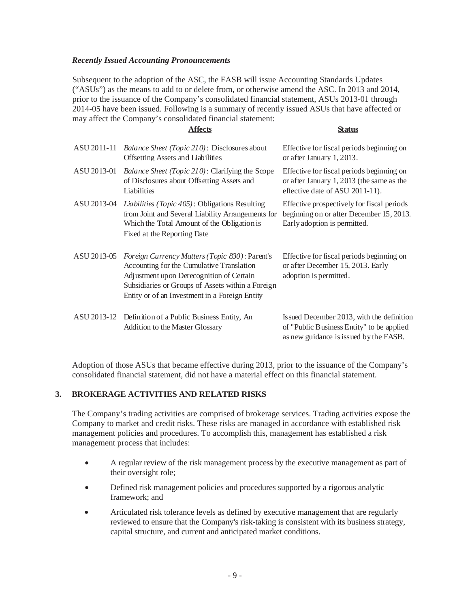#### *Recently Issued Accounting Pronouncements*

Subsequent to the adoption of the ASC, the FASB will issue Accounting Standards Updates ("ASUs") as the means to add to or delete from, or otherwise amend the ASC. In 2013 and 2014, prior to the issuance of the Company's consolidated financial statement, ASUs 2013-01 through 2014-05 have been issued. Following is a summary of recently issued ASUs that have affected or may affect the Company's consolidated financial statement:

**Affects Status**

| ASU 2011-11 | <i>Balance Sheet (Topic 210)</i> : Disclosures about<br><b>Offsetting Assets and Liabilities</b>                                                                                                                                               | Effective for fiscal periods beginning on<br>or after January 1, 2013.                                                            |
|-------------|------------------------------------------------------------------------------------------------------------------------------------------------------------------------------------------------------------------------------------------------|-----------------------------------------------------------------------------------------------------------------------------------|
| ASU 2013-01 | <i>Balance Sheet (Topic 210):</i> Clarifying the Scope<br>of Disclosures about Offsetting Assets and<br>Liabilities                                                                                                                            | Effective for fiscal periods beginning on<br>or after January 1, 2013 (the same as the<br>effective date of ASU 2011-11).         |
| ASU 2013-04 | <i>Liabilities (Topic 405)</i> : Obligations Resulting<br>from Joint and Several Liability Arrangements for<br>Which the Total Amount of the Obligation is<br>Fixed at the Reporting Date                                                      | Effective prospectively for fiscal periods<br>beginning on or after December 15, 2013.<br>Early adoption is permitted.            |
| ASU 2013-05 | Foreign Currency Matters (Topic 830): Parent's<br>Accounting for the Cumulative Translation<br>Adjustment upon Derecognition of Certain<br>Subsidiaries or Groups of Assets within a Foreign<br>Entity or of an Investment in a Foreign Entity | Effective for fiscal periods beginning on<br>or after December 15, 2013. Early<br>adoption is permitted.                          |
|             | ASU 2013-12 Definition of a Public Business Entity, An<br>Addition to the Master Glossary                                                                                                                                                      | Is sued December 2013, with the definition<br>of "Public Business Entity" to be applied<br>as new guidance is issued by the FASB. |

Adoption of those ASUs that became effective during 2013, prior to the issuance of the Company's consolidated financial statement, did not have a material effect on this financial statement.

#### **3. BROKERAGE ACTIVITIES AND RELATED RISKS**

The Company's trading activities are comprised of brokerage services. Trading activities expose the Company to market and credit risks. These risks are managed in accordance with established risk management policies and procedures. To accomplish this, management has established a risk management process that includes:

- A regular review of the risk management process by the executive management as part of their oversight role;
- Defined risk management policies and procedures supported by a rigorous analytic framework; and
- Articulated risk tolerance levels as defined by executive management that are regularly reviewed to ensure that the Company's risk-taking is consistent with its business strategy, capital structure, and current and anticipated market conditions.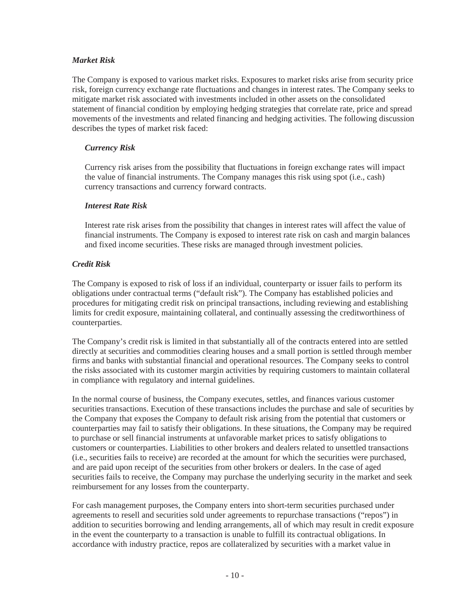## *Market Risk*

The Company is exposed to various market risks. Exposures to market risks arise from security price risk, foreign currency exchange rate fluctuations and changes in interest rates. The Company seeks to mitigate market risk associated with investments included in other assets on the consolidated statement of financial condition by employing hedging strategies that correlate rate, price and spread movements of the investments and related financing and hedging activities. The following discussion describes the types of market risk faced:

# *Currency Risk*

Currency risk arises from the possibility that fluctuations in foreign exchange rates will impact the value of financial instruments. The Company manages this risk using spot (i.e., cash) currency transactions and currency forward contracts.

#### *Interest Rate Risk*

Interest rate risk arises from the possibility that changes in interest rates will affect the value of financial instruments. The Company is exposed to interest rate risk on cash and margin balances and fixed income securities. These risks are managed through investment policies.

# *Credit Risk*

The Company is exposed to risk of loss if an individual, counterparty or issuer fails to perform its obligations under contractual terms ("default risk"). The Company has established policies and procedures for mitigating credit risk on principal transactions, including reviewing and establishing limits for credit exposure, maintaining collateral, and continually assessing the creditworthiness of counterparties.

The Company's credit risk is limited in that substantially all of the contracts entered into are settled directly at securities and commodities clearing houses and a small portion is settled through member firms and banks with substantial financial and operational resources. The Company seeks to control the risks associated with its customer margin activities by requiring customers to maintain collateral in compliance with regulatory and internal guidelines.

In the normal course of business, the Company executes, settles, and finances various customer securities transactions. Execution of these transactions includes the purchase and sale of securities by the Company that exposes the Company to default risk arising from the potential that customers or counterparties may fail to satisfy their obligations. In these situations, the Company may be required to purchase or sell financial instruments at unfavorable market prices to satisfy obligations to customers or counterparties. Liabilities to other brokers and dealers related to unsettled transactions (i.e., securities fails to receive) are recorded at the amount for which the securities were purchased, and are paid upon receipt of the securities from other brokers or dealers. In the case of aged securities fails to receive, the Company may purchase the underlying security in the market and seek reimbursement for any losses from the counterparty.

For cash management purposes, the Company enters into short-term securities purchased under agreements to resell and securities sold under agreements to repurchase transactions ("repos") in addition to securities borrowing and lending arrangements, all of which may result in credit exposure in the event the counterparty to a transaction is unable to fulfill its contractual obligations. In accordance with industry practice, repos are collateralized by securities with a market value in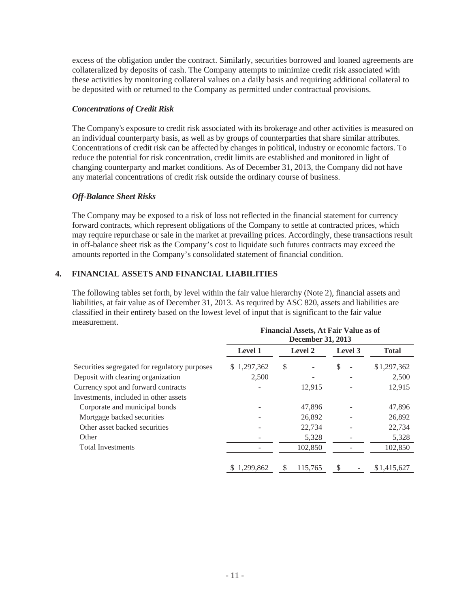excess of the obligation under the contract. Similarly, securities borrowed and loaned agreements are collateralized by deposits of cash. The Company attempts to minimize credit risk associated with these activities by monitoring collateral values on a daily basis and requiring additional collateral to be deposited with or returned to the Company as permitted under contractual provisions.

#### *Concentrations of Credit Risk*

The Company's exposure to credit risk associated with its brokerage and other activities is measured on an individual counterparty basis, as well as by groups of counterparties that share similar attributes. Concentrations of credit risk can be affected by changes in political, industry or economic factors. To reduce the potential for risk concentration, credit limits are established and monitored in light of changing counterparty and market conditions. As of December 31, 2013, the Company did not have any material concentrations of credit risk outside the ordinary course of business.

# *Off-Balance Sheet Risks*

The Company may be exposed to a risk of loss not reflected in the financial statement for currency forward contracts, which represent obligations of the Company to settle at contracted prices, which may require repurchase or sale in the market at prevailing prices. Accordingly, these transactions result in off-balance sheet risk as the Company's cost to liquidate such futures contracts may exceed the amounts reported in the Company's consolidated statement of financial condition.

# **4. FINANCIAL ASSETS AND FINANCIAL LIABILITIES**

The following tables set forth, by level within the fair value hierarchy (Note 2), financial assets and liabilities, at fair value as of December 31, 2013. As required by ASC 820, assets and liabilities are classified in their entirety based on the lowest level of input that is significant to the fair value measurement.

|                                               | <b>Financial Assets, At Fair Value as of</b><br>December 31, 2013 |    |         |    |         |              |  |  |
|-----------------------------------------------|-------------------------------------------------------------------|----|---------|----|---------|--------------|--|--|
|                                               | Level 1                                                           |    | Level 2 |    | Level 3 | <b>Total</b> |  |  |
| Securities segregated for regulatory purposes | \$1,297,362                                                       | \$ |         | \$ |         | \$1,297,362  |  |  |
| Deposit with clearing organization            | 2,500                                                             |    |         |    |         | 2,500        |  |  |
| Currency spot and forward contracts           |                                                                   |    | 12.915  |    |         | 12,915       |  |  |
| Investments, included in other assets         |                                                                   |    |         |    |         |              |  |  |
| Corporate and municipal bonds                 |                                                                   |    | 47.896  |    |         | 47,896       |  |  |
| Mortgage backed securities                    |                                                                   |    | 26,892  |    |         | 26,892       |  |  |
| Other asset backed securities                 |                                                                   |    | 22,734  |    |         | 22,734       |  |  |
| Other                                         |                                                                   |    | 5,328   |    |         | 5,328        |  |  |
| <b>Total Investments</b>                      |                                                                   |    | 102,850 |    |         | 102,850      |  |  |
|                                               | \$1.299,862                                                       | \$ | 115.765 | \$ |         | \$1,415,627  |  |  |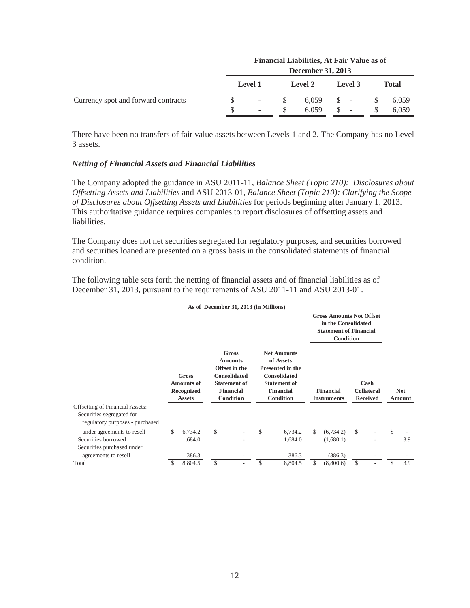|                                     | Financial Liabilities, At Fair Value as of<br>December 31, 2013 |         |  |                |  |         |  |       |  |  |  |
|-------------------------------------|-----------------------------------------------------------------|---------|--|----------------|--|---------|--|-------|--|--|--|
|                                     |                                                                 | Level 1 |  | <b>Level 2</b> |  | Level 3 |  | Total |  |  |  |
| Currency spot and forward contracts |                                                                 |         |  | 6.059          |  | -       |  | 6,059 |  |  |  |
|                                     |                                                                 |         |  | 6.059          |  | -       |  | 6,059 |  |  |  |

There have been no transfers of fair value assets between Levels 1 and 2. The Company has no Level 3 assets.

#### *Netting of Financial Assets and Financial Liabilities*

The Company adopted the guidance in ASU 2011-11, *Balance Sheet (Topic 210): Disclosures about Offsetting Assets and Liabilities* and ASU 2013-01, *Balance Sheet (Topic 210): Clarifying the Scope of Disclosures about Offsetting Assets and Liabilities* for periods beginning after January 1, 2013. This authoritative guidance requires companies to report disclosures of offsetting assets and liabilities.

The Company does not net securities segregated for regulatory purposes, and securities borrowed and securities loaned are presented on a gross basis in the consolidated statements of financial condition.

The following table sets forth the netting of financial assets and of financial liabilities as of December 31, 2013, pursuant to the requirements of ASU 2011-11 and ASU 2013-01.

|                                                              |    |                                                                  |  |              | As of December 31, 2013 (in Millions)                                                                                   |                                                                                                                                                  |               |                                                                                                             |                                              |  |                      |
|--------------------------------------------------------------|----|------------------------------------------------------------------|--|--------------|-------------------------------------------------------------------------------------------------------------------------|--------------------------------------------------------------------------------------------------------------------------------------------------|---------------|-------------------------------------------------------------------------------------------------------------|----------------------------------------------|--|----------------------|
|                                                              |    |                                                                  |  |              |                                                                                                                         |                                                                                                                                                  |               | <b>Gross Amounts Not Offset</b><br>in the Consolidated<br><b>Statement of Financial</b><br><b>Condition</b> |                                              |  |                      |
|                                                              |    | <b>Gross</b><br><b>Amounts of</b><br>Recognized<br><b>Assets</b> |  |              | Gross<br><b>Amounts</b><br>Offset in the<br><b>Consolidated</b><br><b>Statement of</b><br><b>Financial</b><br>Condition | <b>Net Amounts</b><br>of Assets<br><b>Presented in the</b><br><b>Consolidated</b><br><b>Statement of</b><br><b>Financial</b><br><b>Condition</b> |               | <b>Financial</b><br><b>Instruments</b>                                                                      | Cash<br><b>Collateral</b><br><b>Received</b> |  | <b>Net</b><br>Amount |
| <b>Offsetting of Financial Assets:</b>                       |    |                                                                  |  |              |                                                                                                                         |                                                                                                                                                  |               |                                                                                                             |                                              |  |                      |
| Securities segregated for<br>regulatory purposes - purchased |    |                                                                  |  |              |                                                                                                                         |                                                                                                                                                  |               |                                                                                                             |                                              |  |                      |
| under agreements to resell                                   | \$ | 6,734.2                                                          |  | $\mathbb{S}$ |                                                                                                                         | \$<br>6,734.2                                                                                                                                    | <sup>\$</sup> | (6,734.2)                                                                                                   | $\mathcal{S}$                                |  | \$                   |
| Securities borrowed                                          |    | 1,684.0                                                          |  |              |                                                                                                                         | 1,684.0                                                                                                                                          |               | (1,680.1)                                                                                                   |                                              |  | 3.9                  |
| Securities purchased under                                   |    |                                                                  |  |              |                                                                                                                         |                                                                                                                                                  |               |                                                                                                             |                                              |  |                      |
| agreements to resell                                         |    | 386.3                                                            |  |              |                                                                                                                         | 386.3                                                                                                                                            |               | (386.3)                                                                                                     |                                              |  |                      |
| Total                                                        |    | 8,804.5                                                          |  | S            |                                                                                                                         | 8,804.5                                                                                                                                          |               | (8,800.6)                                                                                                   | \$                                           |  | 3.9                  |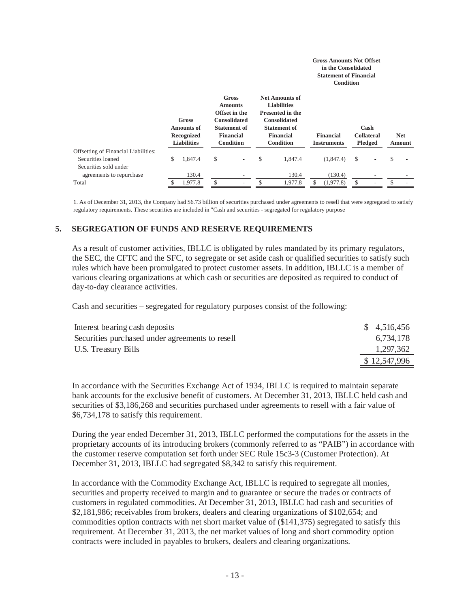|                                             |                                                                |         |                                                                                                                                |                          |                                                                                                                                                       |         | <b>Gross Amounts Not Offset</b><br>in the Consolidated<br><b>Statement of Financial</b><br>Condition |                                      |            |        |
|---------------------------------------------|----------------------------------------------------------------|---------|--------------------------------------------------------------------------------------------------------------------------------|--------------------------|-------------------------------------------------------------------------------------------------------------------------------------------------------|---------|------------------------------------------------------------------------------------------------------|--------------------------------------|------------|--------|
|                                             | Gross<br><b>Amounts of</b><br>Recognized<br><b>Liabilities</b> |         | <b>Gross</b><br><b>Amounts</b><br>Offset in the<br><b>Consolidated</b><br><b>Statement of</b><br><b>Financial</b><br>Condition |                          | <b>Net Amounts of</b><br><b>Liabilities</b><br><b>Presented in the</b><br><b>Consolidated</b><br><b>Statement of</b><br><b>Financial</b><br>Condition |         | Financial<br><b>Instruments</b>                                                                      | Cash<br><b>Collateral</b><br>Pledged | <b>Net</b> | Amount |
| <b>Offsetting of Financial Liabilities:</b> |                                                                |         |                                                                                                                                |                          |                                                                                                                                                       |         |                                                                                                      |                                      |            |        |
| Securities loaned                           | \$.                                                            | 1,847.4 | \$                                                                                                                             | $\overline{\phantom{a}}$ | \$                                                                                                                                                    | 1,847.4 | (1,847.4)                                                                                            | \$                                   | \$         |        |
| Securities sold under                       |                                                                |         |                                                                                                                                |                          |                                                                                                                                                       |         |                                                                                                      |                                      |            |        |
| agreements to repurchase                    |                                                                | 130.4   |                                                                                                                                | $\overline{\phantom{0}}$ |                                                                                                                                                       | 130.4   | (130.4)                                                                                              |                                      |            |        |
| Total                                       |                                                                | 1.977.8 | S                                                                                                                              |                          |                                                                                                                                                       | 1.977.8 | (1.977.8)                                                                                            | \$                                   |            |        |

1. As of December 31, 2013, the Company had \$6.73 billion of securities purchased under agreements to resell that were segregated to satisfy regulatory requirements. These securities are included in "Cash and securities - segregated for regulatory purpose

#### **5. SEGREGATION OF FUNDS AND RESERVE REQUIREMENTS**

As a result of customer activities, IBLLC is obligated by rules mandated by its primary regulators, the SEC, the CFTC and the SFC, to segregate or set aside cash or qualified securities to satisfy such rules which have been promulgated to protect customer assets. In addition, IBLLC is a member of various clearing organizations at which cash or securities are deposited as required to conduct of day-to-day clearance activities.

Cash and securities – segregated for regulatory purposes consist of the following:

| Interest bearing cash deposits                  | \$4,516,456  |
|-------------------------------------------------|--------------|
| Securities purchased under agreements to resell | 6,734,178    |
| U.S. Treasury Bills                             | 1,297,362    |
|                                                 | \$12,547,996 |

In accordance with the Securities Exchange Act of 1934, IBLLC is required to maintain separate bank accounts for the exclusive benefit of customers. At December 31, 2013, IBLLC held cash and securities of \$3,186,268 and securities purchased under agreements to resell with a fair value of \$6,734,178 to satisfy this requirement.

During the year ended December 31, 2013, IBLLC performed the computations for the assets in the proprietary accounts of its introducing brokers (commonly referred to as "PAIB") in accordance with the customer reserve computation set forth under SEC Rule 15c3-3 (Customer Protection). At December 31, 2013, IBLLC had segregated \$8,342 to satisfy this requirement.

In accordance with the Commodity Exchange Act, IBLLC is required to segregate all monies, securities and property received to margin and to guarantee or secure the trades or contracts of customers in regulated commodities. At December 31, 2013, IBLLC had cash and securities of \$2,181,986; receivables from brokers, dealers and clearing organizations of \$102,654; and commodities option contracts with net short market value of (\$141,375) segregated to satisfy this requirement. At December 31, 2013, the net market values of long and short commodity option contracts were included in payables to brokers, dealers and clearing organizations.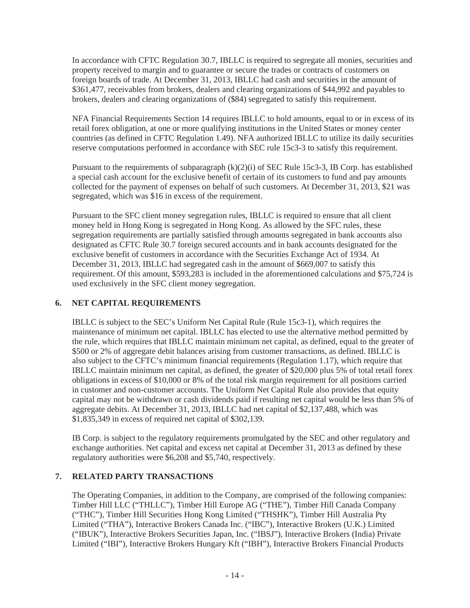In accordance with CFTC Regulation 30.7, IBLLC is required to segregate all monies, securities and property received to margin and to guarantee or secure the trades or contracts of customers on foreign boards of trade. At December 31, 2013, IBLLC had cash and securities in the amount of \$361,477, receivables from brokers, dealers and clearing organizations of \$44,992 and payables to brokers, dealers and clearing organizations of (\$84) segregated to satisfy this requirement.

NFA Financial Requirements Section 14 requires IBLLC to hold amounts, equal to or in excess of its retail forex obligation, at one or more qualifying institutions in the United States or money center countries (as defined in CFTC Regulation 1.49). NFA authorized IBLLC to utilize its daily securities reserve computations performed in accordance with SEC rule 15c3-3 to satisfy this requirement.

Pursuant to the requirements of subparagraph  $(k)(2)(i)$  of SEC Rule 15c3-3, IB Corp. has established a special cash account for the exclusive benefit of certain of its customers to fund and pay amounts collected for the payment of expenses on behalf of such customers. At December 31, 2013, \$21 was segregated, which was \$16 in excess of the requirement.

Pursuant to the SFC client money segregation rules, IBLLC is required to ensure that all client money held in Hong Kong is segregated in Hong Kong. As allowed by the SFC rules, these segregation requirements are partially satisfied through amounts segregated in bank accounts also designated as CFTC Rule 30.7 foreign secured accounts and in bank accounts designated for the exclusive benefit of customers in accordance with the Securities Exchange Act of 1934. At December 31, 2013, IBLLC had segregated cash in the amount of \$669,007 to satisfy this requirement. Of this amount, \$593,283 is included in the aforementioned calculations and \$75,724 is used exclusively in the SFC client money segregation.

# **6. NET CAPITAL REQUIREMENTS**

IBLLC is subject to the SEC's Uniform Net Capital Rule (Rule 15c3-1), which requires the maintenance of minimum net capital. IBLLC has elected to use the alternative method permitted by the rule, which requires that IBLLC maintain minimum net capital, as defined, equal to the greater of \$500 or 2% of aggregate debit balances arising from customer transactions, as defined. IBLLC is also subject to the CFTC's minimum financial requirements (Regulation 1.17), which require that IBLLC maintain minimum net capital, as defined, the greater of \$20,000 plus 5% of total retail forex obligations in excess of \$10,000 or 8% of the total risk margin requirement for all positions carried in customer and non-customer accounts. The Uniform Net Capital Rule also provides that equity capital may not be withdrawn or cash dividends paid if resulting net capital would be less than 5% of aggregate debits. At December 31, 2013, IBLLC had net capital of \$2,137,488, which was \$1,835,349 in excess of required net capital of \$302,139.

IB Corp. is subject to the regulatory requirements promulgated by the SEC and other regulatory and exchange authorities. Net capital and excess net capital at December 31, 2013 as defined by these regulatory authorities were \$6,208 and \$5,740, respectively.

# **7. RELATED PARTY TRANSACTIONS**

The Operating Companies, in addition to the Company, are comprised of the following companies: Timber Hill LLC ("THLLC"), Timber Hill Europe AG ("THE"), Timber Hill Canada Company ("THC"), Timber Hill Securities Hong Kong Limited ("THSHK"), Timber Hill Australia Pty Limited ("THA"), Interactive Brokers Canada Inc. ("IBC"), Interactive Brokers (U.K.) Limited ("IBUK"), Interactive Brokers Securities Japan, Inc. ("IBSJ"), Interactive Brokers (India) Private Limited ("IBI"), Interactive Brokers Hungary Kft ("IBH"), Interactive Brokers Financial Products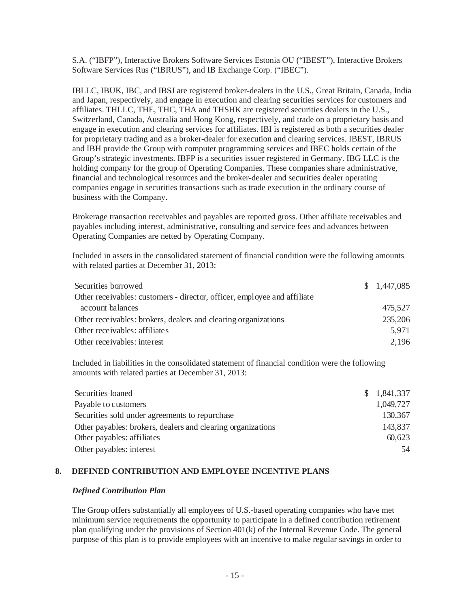S.A. ("IBFP"), Interactive Brokers Software Services Estonia OU ("IBEST"), Interactive Brokers Software Services Rus ("IBRUS"), and IB Exchange Corp. ("IBEC").

IBLLC, IBUK, IBC, and IBSJ are registered broker-dealers in the U.S., Great Britain, Canada, India and Japan, respectively, and engage in execution and clearing securities services for customers and affiliates. THLLC, THE, THC, THA and THSHK are registered securities dealers in the U.S., Switzerland, Canada, Australia and Hong Kong, respectively, and trade on a proprietary basis and engage in execution and clearing services for affiliates. IBI is registered as both a securities dealer for proprietary trading and as a broker-dealer for execution and clearing services. IBEST, IBRUS and IBH provide the Group with computer programming services and IBEC holds certain of the Group's strategic investments. IBFP is a securities issuer registered in Germany. IBG LLC is the holding company for the group of Operating Companies. These companies share administrative, financial and technological resources and the broker-dealer and securities dealer operating companies engage in securities transactions such as trade execution in the ordinary course of business with the Company.

Brokerage transaction receivables and payables are reported gross. Other affiliate receivables and payables including interest, administrative, consulting and service fees and advances between Operating Companies are netted by Operating Company.

Included in assets in the consolidated statement of financial condition were the following amounts with related parties at December 31, 2013:

| Securities borrowed                                                      | \$1,447,085 |
|--------------------------------------------------------------------------|-------------|
| Other receivables: customers - director, officer, employee and affiliate |             |
| account balances                                                         | 475,527     |
| Other receivables: brokers, dealers and clearing organizations           | 235,206     |
| Other receivables: affiliates                                            | 5.971       |
| Other receivables: interest                                              | 2,196       |

Included in liabilities in the consolidated statement of financial condition were the following amounts with related parties at December 31, 2013:

| Securities loaned                                           | \$1,841,337 |
|-------------------------------------------------------------|-------------|
| Payable to customers                                        | 1,049,727   |
| Securities sold under agreements to repurchase              | 130,367     |
| Other payables: brokers, dealers and clearing organizations | 143,837     |
| Other payables: affiliates                                  | 60,623      |
| Other payables: interest                                    | 54          |

#### **8. DEFINED CONTRIBUTION AND EMPLOYEE INCENTIVE PLANS**

#### *Defined Contribution Plan*

The Group offers substantially all employees of U.S.-based operating companies who have met minimum service requirements the opportunity to participate in a defined contribution retirement plan qualifying under the provisions of Section 401(k) of the Internal Revenue Code. The general purpose of this plan is to provide employees with an incentive to make regular savings in order to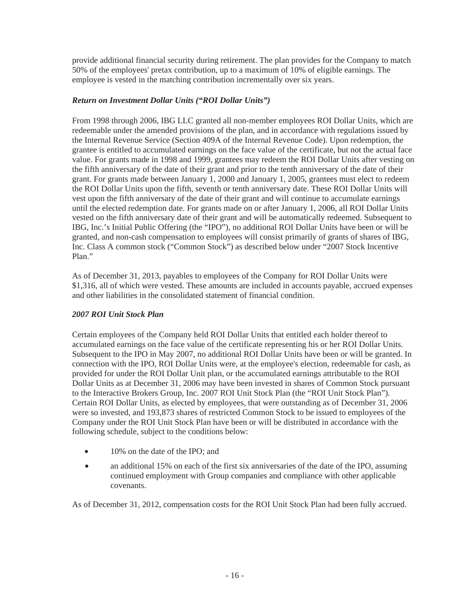provide additional financial security during retirement. The plan provides for the Company to match 50% of the employees' pretax contribution, up to a maximum of 10% of eligible earnings. The employee is vested in the matching contribution incrementally over six years.

# *Return on Investment Dollar Units ("ROI Dollar Units")*

From 1998 through 2006, IBG LLC granted all non-member employees ROI Dollar Units, which are redeemable under the amended provisions of the plan, and in accordance with regulations issued by the Internal Revenue Service (Section 409A of the Internal Revenue Code). Upon redemption, the grantee is entitled to accumulated earnings on the face value of the certificate, but not the actual face value. For grants made in 1998 and 1999, grantees may redeem the ROI Dollar Units after vesting on the fifth anniversary of the date of their grant and prior to the tenth anniversary of the date of their grant. For grants made between January 1, 2000 and January 1, 2005, grantees must elect to redeem the ROI Dollar Units upon the fifth, seventh or tenth anniversary date. These ROI Dollar Units will vest upon the fifth anniversary of the date of their grant and will continue to accumulate earnings until the elected redemption date. For grants made on or after January 1, 2006, all ROI Dollar Units vested on the fifth anniversary date of their grant and will be automatically redeemed. Subsequent to IBG, Inc.'s Initial Public Offering (the "IPO"), no additional ROI Dollar Units have been or will be granted, and non-cash compensation to employees will consist primarily of grants of shares of IBG, Inc. Class A common stock ("Common Stock") as described below under "2007 Stock Incentive Plan<sup>"</sup>

As of December 31, 2013, payables to employees of the Company for ROI Dollar Units were \$1,316, all of which were vested. These amounts are included in accounts payable, accrued expenses and other liabilities in the consolidated statement of financial condition.

# *2007 ROI Unit Stock Plan*

Certain employees of the Company held ROI Dollar Units that entitled each holder thereof to accumulated earnings on the face value of the certificate representing his or her ROI Dollar Units. Subsequent to the IPO in May 2007, no additional ROI Dollar Units have been or will be granted. In connection with the IPO, ROI Dollar Units were, at the employee's election, redeemable for cash, as provided for under the ROI Dollar Unit plan, or the accumulated earnings attributable to the ROI Dollar Units as at December 31, 2006 may have been invested in shares of Common Stock pursuant to the Interactive Brokers Group, Inc. 2007 ROI Unit Stock Plan (the "ROI Unit Stock Plan"). Certain ROI Dollar Units, as elected by employees, that were outstanding as of December 31, 2006 were so invested, and 193,873 shares of restricted Common Stock to be issued to employees of the Company under the ROI Unit Stock Plan have been or will be distributed in accordance with the following schedule, subject to the conditions below:

- 10% on the date of the IPO; and
- an additional 15% on each of the first six anniversaries of the date of the IPO, assuming continued employment with Group companies and compliance with other applicable covenants.

As of December 31, 2012, compensation costs for the ROI Unit Stock Plan had been fully accrued.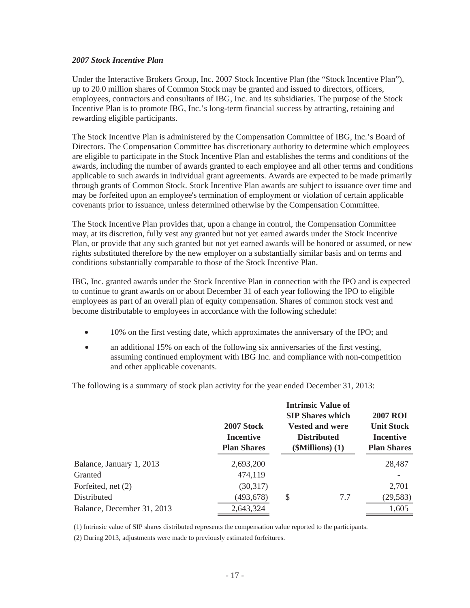#### *2007 Stock Incentive Plan*

Under the Interactive Brokers Group, Inc. 2007 Stock Incentive Plan (the "Stock Incentive Plan"), up to 20.0 million shares of Common Stock may be granted and issued to directors, officers, employees, contractors and consultants of IBG, Inc. and its subsidiaries. The purpose of the Stock Incentive Plan is to promote IBG, Inc.'s long-term financial success by attracting, retaining and rewarding eligible participants.

The Stock Incentive Plan is administered by the Compensation Committee of IBG, Inc.'s Board of Directors. The Compensation Committee has discretionary authority to determine which employees are eligible to participate in the Stock Incentive Plan and establishes the terms and conditions of the awards, including the number of awards granted to each employee and all other terms and conditions applicable to such awards in individual grant agreements. Awards are expected to be made primarily through grants of Common Stock. Stock Incentive Plan awards are subject to issuance over time and may be forfeited upon an employee's termination of employment or violation of certain applicable covenants prior to issuance, unless determined otherwise by the Compensation Committee.

The Stock Incentive Plan provides that, upon a change in control, the Compensation Committee may, at its discretion, fully vest any granted but not yet earned awards under the Stock Incentive Plan, or provide that any such granted but not yet earned awards will be honored or assumed, or new rights substituted therefore by the new employer on a substantially similar basis and on terms and conditions substantially comparable to those of the Stock Incentive Plan.

IBG, Inc. granted awards under the Stock Incentive Plan in connection with the IPO and is expected to continue to grant awards on or about December 31 of each year following the IPO to eligible employees as part of an overall plan of equity compensation. Shares of common stock vest and become distributable to employees in accordance with the following schedule:

- 10% on the first vesting date, which approximates the anniversary of the IPO; and
- an additional 15% on each of the following six anniversaries of the first vesting, assuming continued employment with IBG Inc. and compliance with non-competition and other applicable covenants.

The following is a summary of stock plan activity for the year ended December 31, 2013:

|                            | <b>2007 Stock</b><br><b>Incentive</b><br><b>Plan Shares</b> | <b>Intrinsic Value of</b><br><b>SIP Shares which</b><br><b>Vested and were</b><br><b>Distributed</b><br>$(\mathbf{SMillions})$ (1) | <b>2007 ROI</b><br><b>Unit Stock</b><br>Incentive<br><b>Plan Shares</b> |
|----------------------------|-------------------------------------------------------------|------------------------------------------------------------------------------------------------------------------------------------|-------------------------------------------------------------------------|
| Balance, January 1, 2013   | 2,693,200                                                   |                                                                                                                                    | 28,487                                                                  |
| Granted                    | 474,119                                                     |                                                                                                                                    |                                                                         |
| Forfeited, net (2)         | (30,317)                                                    |                                                                                                                                    | 2,701                                                                   |
| Distributed                | (493,678)                                                   | \$<br>7.7                                                                                                                          | (29, 583)                                                               |
| Balance, December 31, 2013 | 2,643,324                                                   |                                                                                                                                    | 1,605                                                                   |

(1) Intrinsic value of SIP shares distributed represents the compensation value reported to the participants.

(2) During 2013, adjustments were made to previously estimated forfeitures.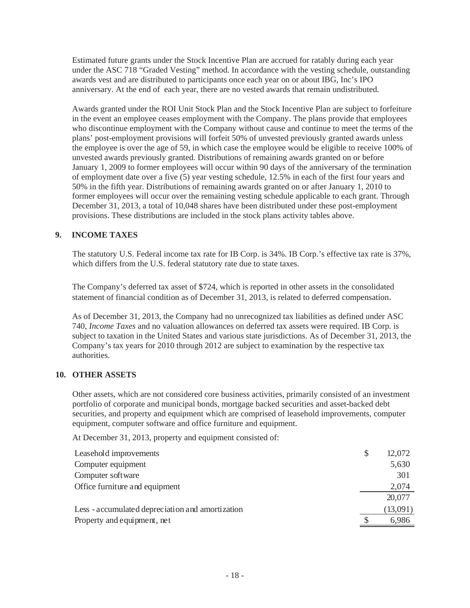Estimated future grants under the Stock Incentive Plan are accrued for ratably during each year under the ASC 718 "Graded Vesting" method. In accordance with the vesting schedule, outstanding awards vest and are distributed to participants once each year on or about IBG, Inc's IPO anniversary. At the end of each year, there are no vested awards that remain undistributed.

Awards granted under the ROI Unit Stock Plan and the Stock Incentive Plan are subject to forfeiture in the event an employee ceases employment with the Company. The plans provide that employees who discontinue employment with the Company without cause and continue to meet the terms of the plans' post-employment provisions will forfeit 50% of unvested previously granted awards unless the employee is over the age of 59, in which case the employee would be eligible to receive 100% of unvested awards previously granted. Distributions of remaining awards granted on or before January 1, 2009 to former employees will occur within 90 days of the anniversary of the termination of employment date over a five (5) year vesting schedule, 12.5% in each of the first four years and 50% in the fifth year. Distributions of remaining awards granted on or after January 1, 2010 to former employees will occur over the remaining vesting schedule applicable to each grant. Through December 31, 2013, a total of 10,048 shares have been distributed under these post-employment provisions. These distributions are included in the stock plans activity tables above.

# **9. INCOME TAXES**

The statutory U.S. Federal income tax rate for IB Corp. is 34%. IB Corp.'s effective tax rate is 37%, which differs from the U.S. federal statutory rate due to state taxes.

The Company's deferred tax asset of \$724, which is reported in other assets in the consolidated statement of financial condition as of December 31, 2013, is related to deferred compensation.

As of December 31, 2013, the Company had no unrecognized tax liabilities as defined under ASC 740, *Income Taxes* and no valuation allowances on deferred tax assets were required. IB Corp. is subject to taxation in the United States and various state jurisdictions. As of December 31, 2013, the Company's tax years for 2010 through 2012 are subject to examination by the respective tax authorities.

# **10. OTHER ASSETS**

Other assets, which are not considered core business activities, primarily consisted of an investment portfolio of corporate and municipal bonds, mortgage backed securities and asset-backed debt securities, and property and equipment which are comprised of leasehold improvements, computer equipment, computer software and office furniture and equipment.

At December 31, 2013, property and equipment consisted of:

| Leasehold improvements                           | \$<br>12,072 |
|--------------------------------------------------|--------------|
| Computer equipment                               | 5,630        |
| Computer software                                | 301          |
| Office furniture and equipment                   | 2,074        |
|                                                  | 20,077       |
| Less - accumulated depreciation and amortization | (13,091)     |
| Property and equipment, net                      | 6,986        |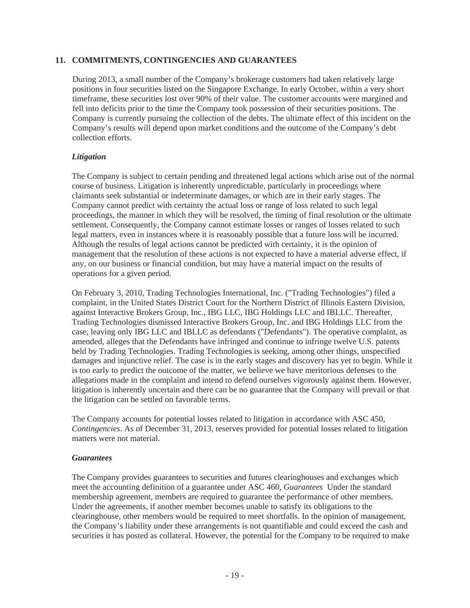#### **11. COMMITMENTS, CONTINGENCIES AND GUARANTEES**

During 2013, a small number of the Company's brokerage customers had taken relatively large positions in four securities listed on the Singapore Exchange. In early October, within a very short timeframe, these securities lost over 90% of their value. The customer accounts were margined and fell into deficits prior to the time the Company took possession of their securities positions. The Company is currently pursuing the collection of the debts. The ultimate effect of this incident on the Company's results will depend upon market conditions and the outcome of the Company's debt collection efforts.

# *Litigation*

The Company is subject to certain pending and threatened legal actions which arise out of the normal course of business. Litigation is inherently unpredictable, particularly in proceedings where claimants seek substantial or indeterminate damages, or which are in their early stages. The Company cannot predict with certainty the actual loss or range of loss related to such legal proceedings, the manner in which they will be resolved, the timing of final resolution or the ultimate settlement. Consequently, the Company cannot estimate losses or ranges of losses related to such legal matters, even in instances where it is reasonably possible that a future loss will be incurred. Although the results of legal actions cannot be predicted with certainty, it is the opinion of management that the resolution of these actions is not expected to have a material adverse effect, if any, on our business or financial condition, but may have a material impact on the results of operations for a given period.

On February 3, 2010, Trading Technologies International, Inc. ("Trading Technologies") filed a complaint, in the United States District Court for the Northern District of Illinois Eastern Division, against Interactive Brokers Group, Inc., IBG LLC, IBG Holdings LLC and IBLLC. Thereafter, Trading Technologies dismissed Interactive Brokers Group, Inc. and IBG Holdings LLC from the case, leaving only IBG LLC and IBLLC as defendants ("Defendants"). The operative complaint, as amended, alleges that the Defendants have infringed and continue to infringe twelve U.S. patents held by Trading Technologies. Trading Technologies is seeking, among other things, unspecified damages and injunctive relief. The case is in the early stages and discovery has yet to begin. While it is too early to predict the outcome of the matter, we believe we have meritorious defenses to the allegations made in the complaint and intend to defend ourselves vigorously against them. However, litigation is inherently uncertain and there can be no guarantee that the Company will prevail or that the litigation can be settled on favorable terms.

The Company accounts for potential losses related to litigation in accordance with ASC 450, *Contingencies*. As of December 31, 2013, reserves provided for potential losses related to litigation matters were not material.

#### *Guarantees*

The Company provides guarantees to securities and futures clearinghouses and exchanges which meet the accounting definition of a guarantee under ASC 460, *Guarantees* Under the standard membership agreement, members are required to guarantee the performance of other members. Under the agreements, if another member becomes unable to satisfy its obligations to the clearinghouse, other members would be required to meet shortfalls. In the opinion of management, the Company's liability under these arrangements is not quantifiable and could exceed the cash and securities it has posted as collateral. However, the potential for the Company to be required to make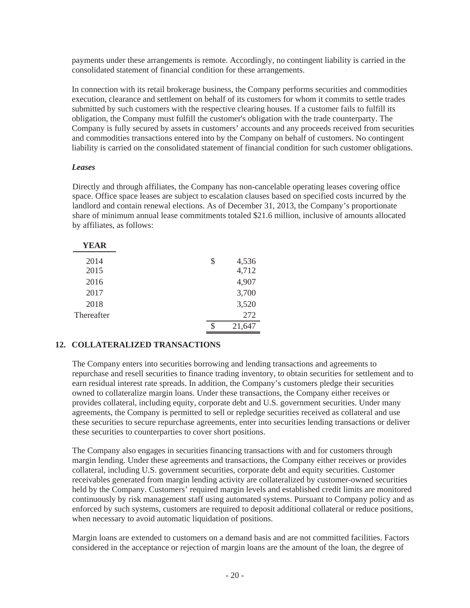payments under these arrangements is remote. Accordingly, no contingent liability is carried in the consolidated statement of financial condition for these arrangements.

In connection with its retail brokerage business, the Company performs securities and commodities execution, clearance and settlement on behalf of its customers for whom it commits to settle trades submitted by such customers with the respective clearing houses. If a customer fails to fulfill its obligation, the Company must fulfill the customer's obligation with the trade counterparty. The Company is fully secured by assets in customers' accounts and any proceeds received from securities and commodities transactions entered into by the Company on behalf of customers. No contingent liability is carried on the consolidated statement of financial condition for such customer obligations.

#### *Leases*

Directly and through affiliates, the Company has non-cancelable operating leases covering office space. Office space leases are subject to escalation clauses based on specified costs incurred by the landlord and contain renewal elections. As of December 31, 2013, the Company's proportionate share of minimum annual lease commitments totaled \$21.6 million, inclusive of amounts allocated by affiliates, as follows:

| YEAR       |    |        |
|------------|----|--------|
| 2014       | \$ | 4,536  |
| 2015       |    | 4,712  |
| 2016       |    | 4,907  |
| 2017       |    | 3,700  |
| 2018       |    | 3,520  |
| Thereafter |    | 272    |
|            |    | 21,647 |

# **12. COLLATERALIZED TRANSACTIONS**

The Company enters into securities borrowing and lending transactions and agreements to repurchase and resell securities to finance trading inventory, to obtain securities for settlement and to earn residual interest rate spreads. In addition, the Company's customers pledge their securities owned to collateralize margin loans. Under these transactions, the Company either receives or provides collateral, including equity, corporate debt and U.S. government securities. Under many agreements, the Company is permitted to sell or repledge securities received as collateral and use these securities to secure repurchase agreements, enter into securities lending transactions or deliver these securities to counterparties to cover short positions.

The Company also engages in securities financing transactions with and for customers through margin lending. Under these agreements and transactions, the Company either receives or provides collateral, including U.S. government securities, corporate debt and equity securities. Customer receivables generated from margin lending activity are collateralized by customer-owned securities held by the Company. Customers' required margin levels and established credit limits are monitored continuously by risk management staff using automated systems. Pursuant to Company policy and as enforced by such systems, customers are required to deposit additional collateral or reduce positions, when necessary to avoid automatic liquidation of positions.

Margin loans are extended to customers on a demand basis and are not committed facilities. Factors considered in the acceptance or rejection of margin loans are the amount of the loan, the degree of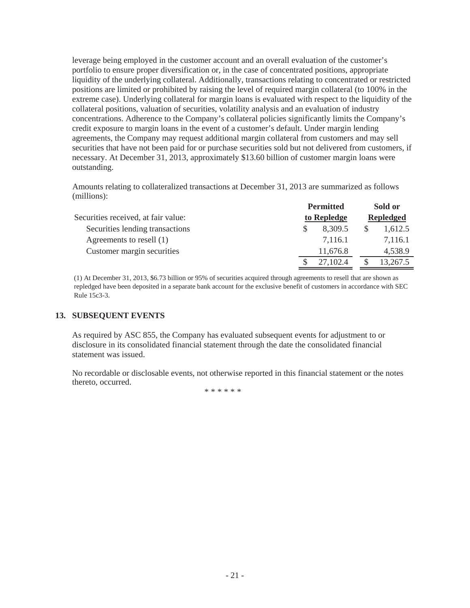leverage being employed in the customer account and an overall evaluation of the customer's portfolio to ensure proper diversification or, in the case of concentrated positions, appropriate liquidity of the underlying collateral. Additionally, transactions relating to concentrated or restricted positions are limited or prohibited by raising the level of required margin collateral (to 100% in the extreme case). Underlying collateral for margin loans is evaluated with respect to the liquidity of the collateral positions, valuation of securities, volatility analysis and an evaluation of industry concentrations. Adherence to the Company's collateral policies significantly limits the Company's credit exposure to margin loans in the event of a customer's default. Under margin lending agreements, the Company may request additional margin collateral from customers and may sell securities that have not been paid for or purchase securities sold but not delivered from customers, if necessary. At December 31, 2013, approximately \$13.60 billion of customer margin loans were outstanding.

Amounts relating to collateralized transactions at December 31, 2013 are summarized as follows (millions):

|                                     |             | <b>Permitted</b> |                  | Sold or  |
|-------------------------------------|-------------|------------------|------------------|----------|
| Securities received, at fair value: | to Repledge |                  | <b>Repledged</b> |          |
| Securities lending transactions     |             | 8,309.5          |                  | 1,612.5  |
| Agreements to resell (1)            |             | 7.116.1          |                  | 7,116.1  |
| Customer margin securities          |             | 11,676.8         |                  | 4,538.9  |
|                                     |             | 27,102.4         |                  | 13,267.5 |

(1) At December 31, 2013, \$6.73 billion or 95% of securities acquired through agreements to resell that are shown as repledged have been deposited in a separate bank account for the exclusive benefit of customers in accordance with SEC Rule 15c3-3.

#### **13. SUBSEQUENT EVENTS**

As required by ASC 855, the Company has evaluated subsequent events for adjustment to or disclosure in its consolidated financial statement through the date the consolidated financial statement was issued.

No recordable or disclosable events, not otherwise reported in this financial statement or the notes thereto, occurred.

\*\*\*\*\*\*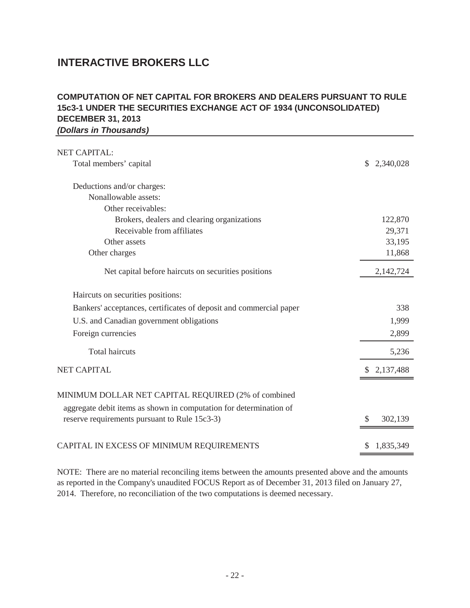# **INTERACTIVE BROKERS LLC**

# **DECEMBER 31, 2013** *(Dollars in Thousands)* **COMPUTATION OF NET CAPITAL FOR BROKERS AND DEALERS PURSUANT TO RULE 15c3-1 UNDER THE SECURITIES EXCHANGE ACT OF 1934 (UNCONSOLIDATED)**

| <b>NET CAPITAL:</b>                                                                                                 |               |
|---------------------------------------------------------------------------------------------------------------------|---------------|
| Total members' capital                                                                                              | \$2,340,028   |
| Deductions and/or charges:                                                                                          |               |
| Nonallowable assets:                                                                                                |               |
| Other receivables:                                                                                                  |               |
| Brokers, dealers and clearing organizations                                                                         | 122,870       |
| Receivable from affiliates                                                                                          | 29,371        |
| Other assets                                                                                                        | 33,195        |
| Other charges                                                                                                       | 11,868        |
| Net capital before haircuts on securities positions                                                                 | 2,142,724     |
| Haircuts on securities positions:                                                                                   |               |
| Bankers' acceptances, certificates of deposit and commercial paper                                                  | 338           |
| U.S. and Canadian government obligations                                                                            | 1,999         |
| Foreign currencies                                                                                                  | 2,899         |
| <b>Total haircuts</b>                                                                                               | 5,236         |
| <b>NET CAPITAL</b>                                                                                                  | \$2,137,488   |
| MINIMUM DOLLAR NET CAPITAL REQUIRED (2% of combined                                                                 |               |
| aggregate debit items as shown in computation for determination of<br>reserve requirements pursuant to Rule 15c3-3) | 302,139<br>\$ |
| CAPITAL IN EXCESS OF MINIMUM REQUIREMENTS                                                                           | 1,835,349     |

NOTE: There are no material reconciling items between the amounts presented above and the amounts as reported in the Company's unaudited FOCUS Report as of December 31, 2013 filed on January 27, 2014. Therefore, no reconciliation of the two computations is deemed necessary.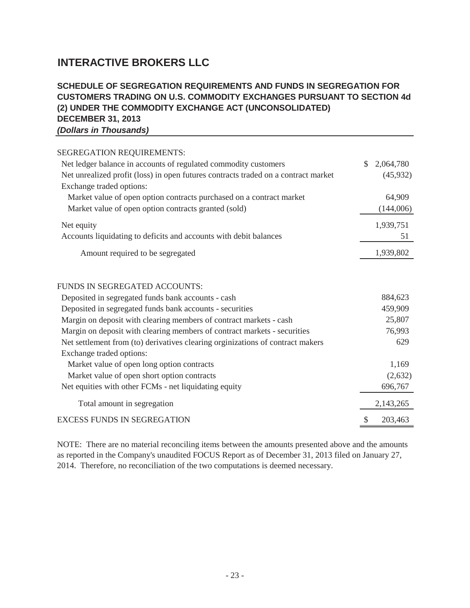# **INTERACTIVE BROKERS LLC**

# **DECEMBER 31, 2013** *(Dollars in Thousands)* **SCHEDULE OF SEGREGATION REQUIREMENTS AND FUNDS IN SEGREGATION FOR CUSTOMERS TRADING ON U.S. COMMODITY EXCHANGES PURSUANT TO SECTION 4d (2) UNDER THE COMMODITY EXCHANGE ACT (UNCONSOLIDATED)**

| SEGREGATION REQUIREMENTS:                                                                                      |                 |
|----------------------------------------------------------------------------------------------------------------|-----------------|
| Net ledger balance in accounts of regulated commodity customers                                                | \$<br>2,064,780 |
| Net unrealized profit (loss) in open futures contracts traded on a contract market<br>Exchange traded options: | (45,932)        |
| Market value of open option contracts purchased on a contract market                                           | 64,909          |
| Market value of open option contracts granted (sold)                                                           | (144,006)       |
| Net equity                                                                                                     | 1,939,751       |
| Accounts liquidating to deficits and accounts with debit balances                                              | 51              |
| Amount required to be segregated                                                                               | 1,939,802       |
| FUNDS IN SEGREGATED ACCOUNTS:                                                                                  |                 |
| Deposited in segregated funds bank accounts - cash                                                             | 884,623         |
| Deposited in segregated funds bank accounts - securities                                                       | 459,909         |
| Margin on deposit with clearing members of contract markets - cash                                             | 25,807          |
| Margin on deposit with clearing members of contract markets - securities                                       | 76,993          |
| Net settlement from (to) derivatives clearing orginizations of contract makers                                 | 629             |
| Exchange traded options:                                                                                       |                 |
| Market value of open long option contracts                                                                     | 1,169           |
| Market value of open short option contracts                                                                    | (2,632)         |
| Net equities with other FCMs - net liquidating equity                                                          | 696,767         |
| Total amount in segregation                                                                                    | 2,143,265       |
| <b>EXCESS FUNDS IN SEGREGATION</b>                                                                             | \$<br>203,463   |

NOTE: There are no material reconciling items between the amounts presented above and the amounts as reported in the Company's unaudited FOCUS Report as of December 31, 2013 filed on January 27, 2014. Therefore, no reconciliation of the two computations is deemed necessary.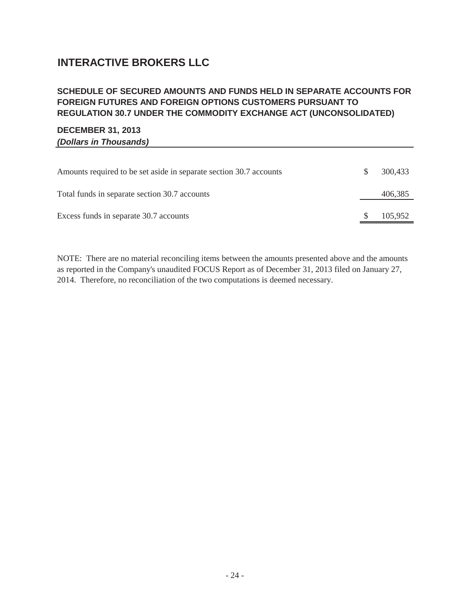# **INTERACTIVE BROKERS LLC**

# **SCHEDULE OF SECURED AMOUNTS AND FUNDS HELD IN SEPARATE ACCOUNTS FOR FOREIGN FUTURES AND FOREIGN OPTIONS CUSTOMERS PURSUANT TO REGULATION 30.7 UNDER THE COMMODITY EXCHANGE ACT (UNCONSOLIDATED)**

# **DECEMBER 31, 2013** *(Dollars in Thousands)*

| Amounts required to be set aside in separate section 30.7 accounts | 300.433 |
|--------------------------------------------------------------------|---------|
| Total funds in separate section 30.7 accounts                      | 406,385 |
| Excess funds in separate 30.7 accounts                             | 105,952 |

NOTE: There are no material reconciling items between the amounts presented above and the amounts as reported in the Company's unaudited FOCUS Report as of December 31, 2013 filed on January 27, 2014. Therefore, no reconciliation of the two computations is deemed necessary.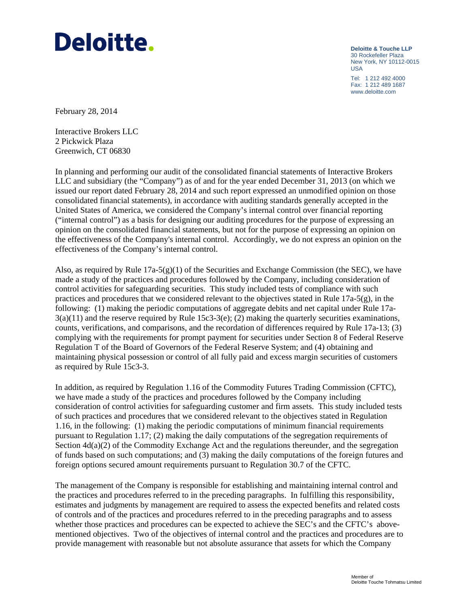# Deloitte.

**Deloitte & Touche LLP** 30 Rockefeller Plaza New York, NY 10112-0015 USA

Tel: 1 212 492 4000 Fax: 1 212 489 1687 www.deloitte.com

February 28, 2014

Interactive Brokers LLC 2 Pickwick Plaza Greenwich, CT 06830

In planning and performing our audit of the consolidated financial statements of Interactive Brokers LLC and subsidiary (the "Company") as of and for the year ended December 31, 2013 (on which we issued our report dated February 28, 2014 and such report expressed an unmodified opinion on those consolidated financial statements), in accordance with auditing standards generally accepted in the United States of America, we considered the Company's internal control over financial reporting ("internal control") as a basis for designing our auditing procedures for the purpose of expressing an opinion on the consolidated financial statements, but not for the purpose of expressing an opinion on the effectiveness of the Company's internal control. Accordingly, we do not express an opinion on the effectiveness of the Company's internal control.

Also, as required by Rule  $17a-5(g)(1)$  of the Securities and Exchange Commission (the SEC), we have made a study of the practices and procedures followed by the Company, including consideration of control activities for safeguarding securities. This study included tests of compliance with such practices and procedures that we considered relevant to the objectives stated in Rule 17a-5(g), in the following: (1) making the periodic computations of aggregate debits and net capital under Rule 17a- $3(a)(11)$  and the reserve required by Rule 15c3-3(e); (2) making the quarterly securities examinations, counts, verifications, and comparisons, and the recordation of differences required by Rule 17a-13; (3) complying with the requirements for prompt payment for securities under Section 8 of Federal Reserve Regulation T of the Board of Governors of the Federal Reserve System; and (4) obtaining and maintaining physical possession or control of all fully paid and excess margin securities of customers as required by Rule 15c3-3.

In addition, as required by Regulation 1.16 of the Commodity Futures Trading Commission (CFTC), we have made a study of the practices and procedures followed by the Company including consideration of control activities for safeguarding customer and firm assets. This study included tests of such practices and procedures that we considered relevant to the objectives stated in Regulation 1.16, in the following: (1) making the periodic computations of minimum financial requirements pursuant to Regulation 1.17; (2) making the daily computations of the segregation requirements of Section  $4d(a)(2)$  of the Commodity Exchange Act and the regulations thereunder, and the segregation of funds based on such computations; and (3) making the daily computations of the foreign futures and foreign options secured amount requirements pursuant to Regulation 30.7 of the CFTC.

The management of the Company is responsible for establishing and maintaining internal control and the practices and procedures referred to in the preceding paragraphs. In fulfilling this responsibility, estimates and judgments by management are required to assess the expected benefits and related costs of controls and of the practices and procedures referred to in the preceding paragraphs and to assess whether those practices and procedures can be expected to achieve the SEC's and the CFTC's abovementioned objectives. Two of the objectives of internal control and the practices and procedures are to provide management with reasonable but not absolute assurance that assets for which the Company